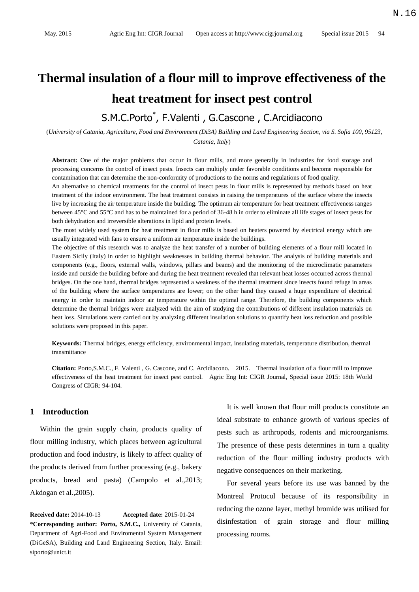# **Thermal insulation of a flour mill to improve effectiveness of the heat treatment for insect pest control**

## S.M.C.Porto\* , F.Valenti , G.Cascone , C.Arcidiacono

(*University of Catania, Agriculture, Food and Environment (Di3A) Building and Land Engineering Section, via S. Sofia 100, 95123, Catania, Italy*)

**Abstract:** One of the major problems that occur in flour mills, and more generally in industries for food storage and processing concerns the control of insect pests. Insects can multiply under favorable conditions and become responsible for contamination that can determine the non-conformity of productions to the norms and regulations of food quality.

An alternative to chemical treatments for the control of insect pests in flour mills is represented by methods based on heat treatment of the indoor environment. The heat treatment consists in raising the temperatures of the surface where the insects live by increasing the air temperature inside the building. The optimum air temperature for heat treatment effectiveness ranges between 45°C and 55°C and has to be maintained for a period of 36-48 h in order to eliminate all life stages of insect pests for both dehydration and irreversible alterations in lipid and protein levels.

The most widely used system for heat treatment in flour mills is based on heaters powered by electrical energy which are usually integrated with fans to ensure a uniform air temperature inside the buildings.

The objective of this research was to analyze the heat transfer of a number of building elements of a flour mill located in Eastern Sicily (Italy) in order to highlight weaknesses in building thermal behavior. The analysis of building materials and components (e.g., floors, external walls, windows, pillars and beams) and the monitoring of the microclimatic parameters inside and outside the building before and during the heat treatment revealed that relevant heat losses occurred across thermal bridges. On the one hand, thermal bridges represented a weakness of the thermal treatment since insects found refuge in areas of the building where the surface temperatures are lower; on the other hand they caused a huge expenditure of electrical energy in order to maintain indoor air temperature within the optimal range. Therefore, the building components which determine the thermal bridges were analyzed with the aim of studying the contributions of different insulation materials on heat loss. Simulations were carried out by analyzing different insulation solutions to quantify heat loss reduction and possible solutions were proposed in this paper.

**Keywords:** Thermal bridges, energy efficiency, environmental impact, insulating materials, temperature distribution, thermal transmittance

**Citation:** Porto,S.M.C., F. Valenti , G. Cascone, and C. Arcidiacono. 2015. Thermal insulation of a flour mill to improve effectiveness of the heat treatment for insect pest control. Agric Eng Int: CIGR Journal, Special issue 2015: 18th World Congress of CIGR: 94-104.

#### **1 Introduction1**

 $\overline{a}$ 

Within the grain supply chain, products quality of flour milling industry, which places between agricultural production and food industry, is likely to affect quality of the products derived from further processing (e.g., bakery products, bread and pasta) (Campolo et al.,2013; Akdogan et al.,2005).

It is well known that flour mill products constitute an ideal substrate to enhance growth of various species of pests such as arthropods, rodents and microorganisms. The presence of these pests determines in turn a quality reduction of the flour milling industry products with negative consequences on their marketing.

For several years before its use was banned by the Montreal Protocol because of its responsibility in reducing the ozone layer, methyl bromide was utilised for disinfestation of grain storage and flour milling processing rooms.

**Received date:** 2014-10-13 **Accepted date:** 2015-01-24 \***Corresponding author: Porto, S.M.C.,** University of Catania, Department of Agri-Food and Enviromental System Management (DiGeSA), Building and Land Engineering Section, Italy. Email: siporto@unict.it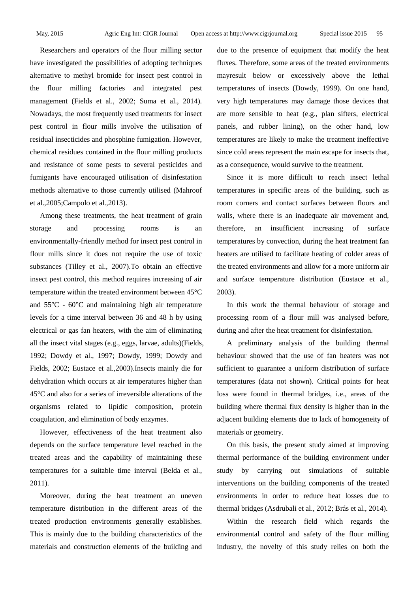Researchers and operators of the flour milling sector have investigated the possibilities of adopting techniques alternative to methyl bromide for insect pest control in the flour milling factories and integrated pest management (Fields et al., 2002; Suma et al., 2014). Nowadays, the most frequently used treatments for insect pest control in flour mills involve the utilisation of residual insecticides and phosphine fumigation. However, chemical residues contained in the flour milling products and resistance of some pests to several pesticides and fumigants have encouraged utilisation of disinfestation methods alternative to those currently utilised (Mahroof et al.,2005;Campolo et al.,2013).

Among these treatments, the heat treatment of grain storage and processing rooms is an environmentally-friendly method for insect pest control in flour mills since it does not require the use of toxic substances (Tilley et al., 2007).To obtain an effective insect pest control, this method requires increasing of air temperature within the treated environment between  $45 \, \text{°C}$ and  $55^{\circ}\text{C}$  - 60  $\text{C}$  and maintaining high air temperature levels for a time interval between 36 and 48 h by using electrical or gas fan heaters, with the aim of eliminating all the insect vital stages (e.g., eggs, larvae, adults)(Fields, 1992; Dowdy et al., 1997; Dowdy, 1999; Dowdy and Fields, 2002; Eustace et al.,2003).Insects mainly die for dehydration which occurs at air temperatures higher than  $45<sup>o</sup>C$  and also for a series of irreversible alterations of the organisms related to lipidic composition, protein coagulation, and elimination of body enzymes.

However, effectiveness of the heat treatment also depends on the surface temperature level reached in the treated areas and the capability of maintaining these temperatures for a suitable time interval (Belda et al., 2011).

Moreover, during the heat treatment an uneven temperature distribution in the different areas of the treated production environments generally establishes. This is mainly due to the building characteristics of the materials and construction elements of the building and due to the presence of equipment that modify the heat fluxes. Therefore, some areas of the treated environments mayresult below or excessively above the lethal temperatures of insects (Dowdy, 1999). On one hand, very high temperatures may damage those devices that are more sensible to heat (e.g., plan sifters, electrical panels, and rubber lining), on the other hand, low temperatures are likely to make the treatment ineffective since cold areas represent the main escape for insects that, as a consequence, would survive to the treatment.

Since it is more difficult to reach insect lethal temperatures in specific areas of the building, such as room corners and contact surfaces between floors and walls, where there is an inadequate air movement and, therefore, an insufficient increasing of surface temperatures by convection, during the heat treatment fan heaters are utilised to facilitate heating of colder areas of the treated environments and allow for a more uniform air and surface temperature distribution (Eustace et al., 2003).

In this work the thermal behaviour of storage and processing room of a flour mill was analysed before, during and after the heat treatment for disinfestation.

A preliminary analysis of the building thermal behaviour showed that the use of fan heaters was not sufficient to guarantee a uniform distribution of surface temperatures (data not shown). Critical points for heat loss were found in thermal bridges, i.e., areas of the building where thermal flux density is higher than in the adjacent building elements due to lack of homogeneity of materials or geometry.

On this basis, the present study aimed at improving thermal performance of the building environment under study by carrying out simulations of suitable interventions on the building components of the treated environments in order to reduce heat losses due to thermal bridges (Asdrubali et al., 2012; Br ás et al., 2014).

Within the research field which regards the environmental control and safety of the flour milling industry, the novelty of this study relies on both the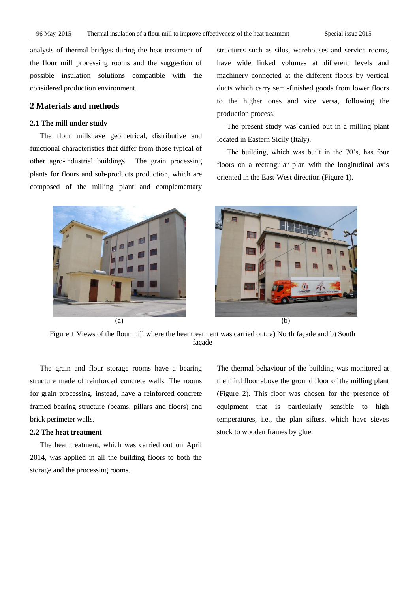analysis of thermal bridges during the heat treatment of the flour mill processing rooms and the suggestion of possible insulation solutions compatible with the considered production environment.

#### **2 Materials and methods**

#### **2.1 The mill under study**

The flour millshave geometrical, distributive and functional characteristics that differ from those typical of other agro-industrial buildings. The grain processing plants for flours and sub-products production, which are composed of the milling plant and complementary structures such as silos, warehouses and service rooms, have wide linked volumes at different levels and machinery connected at the different floors by vertical ducts which carry semi-finished goods from lower floors to the higher ones and vice versa, following the production process.

The present study was carried out in a milling plant located in Eastern Sicily (Italy).

The building, which was built in the 70's, has four floors on a rectangular plan with the longitudinal axis oriented in the East-West direction (Figure 1).



Figure 1 Views of the flour mill where the heat treatment was carried out: a) North façade and b) South façade

The grain and flour storage rooms have a bearing structure made of reinforced concrete walls. The rooms for grain processing, instead, have a reinforced concrete framed bearing structure (beams, pillars and floors) and brick perimeter walls.

#### **2.2 The heat treatment**

The heat treatment, which was carried out on April 2014, was applied in all the building floors to both the storage and the processing rooms.

The thermal behaviour of the building was monitored at the third floor above the ground floor of the milling plant (Figure 2). This floor was chosen for the presence of equipment that is particularly sensible to high temperatures, i.e., the plan sifters, which have sieves stuck to wooden frames by glue.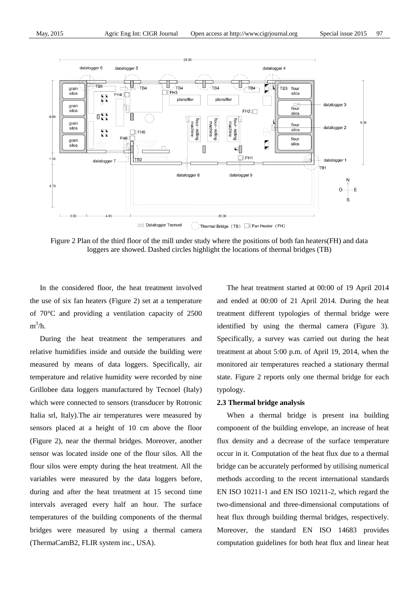

Figure 2 Plan of the third floor of the mill under study where the positions of both fan heaters(FH) and data loggers are showed. Dashed circles highlight the locations of thermal bridges (TB)

In the considered floor, the heat treatment involved the use of six fan heaters (Figure 2) set at a temperature of  $70^{\circ}$  C and providing a ventilation capacity of 2500  $m^3/h$ .

During the heat treatment the temperatures and relative humidifies inside and outside the building were measured by means of data loggers. Specifically, air temperature and relative humidity were recorded by nine Grillobee data loggers manufactured by Tecnoel (Italy) which were connected to sensors (transducer by Rotronic Italia srl, Italy).The air temperatures were measured by sensors placed at a height of 10 cm above the floor (Figure 2), near the thermal bridges. Moreover, another sensor was located inside one of the flour silos. All the flour silos were empty during the heat treatment. All the variables were measured by the data loggers before, during and after the heat treatment at 15 second time intervals averaged every half an hour. The surface temperatures of the building components of the thermal bridges were measured by using a thermal camera (ThermaCamB2, FLIR system inc., USA).

The heat treatment started at 00:00 of 19 April 2014 and ended at 00:00 of 21 April 2014. During the heat treatment different typologies of thermal bridge were identified by using the thermal camera (Figure 3). Specifically, a survey was carried out during the heat treatment at about 5:00 p.m. of April 19, 2014, when the monitored air temperatures reached a stationary thermal state. Figure 2 reports only one thermal bridge for each typology.

#### **2.3 Thermal bridge analysis**

When a thermal bridge is present ina building component of the building envelope, an increase of heat flux density and a decrease of the surface temperature occur in it. Computation of the heat flux due to a thermal bridge can be accurately performed by utilising numerical methods according to the recent international standards EN ISO 10211-1 and EN ISO 10211-2, which regard the two-dimensional and three-dimensional computations of heat flux through building thermal bridges, respectively. Moreover, the standard EN ISO 14683 provides computation guidelines for both heat flux and linear heat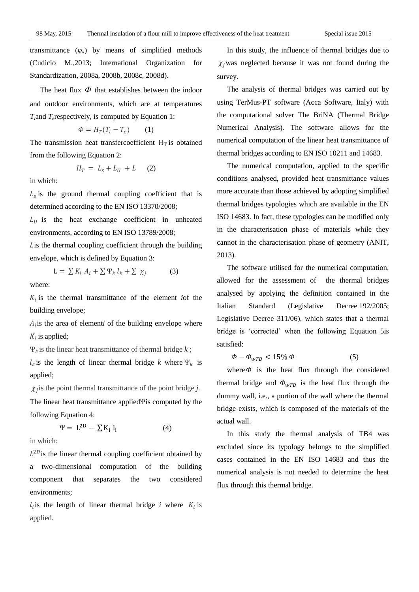transmittance  $(\psi_k)$  by means of simplified methods (Cudicio M.,2013; International Organization for Standardization, 2008a, 2008b, 2008c, 2008d).

The heat flux  $\Phi$  that establishes between the indoor and outdoor environments, which are at temperatures *T*<sub>*i*</sub>and *T*<sub>*e*</sub>respectively, is computed by Equation 1:

$$
\Phi = H_T (T_i - T_e) \qquad (1)
$$

The transmission heat transfer coefficient  $H_T$  is obtained from the following Equation 2:

$$
H_T = L_s + L_U + L \qquad (2)
$$

in which:

 $L<sub>s</sub>$  is the ground thermal coupling coefficient that is determined according to the EN ISO 13370/2008;

 $L_{II}$  is the heat exchange coefficient in unheated environments, according to EN ISO 13789/2008;

 $\overline{L}$  is the thermal coupling coefficient through the building envelope, which is defined by Equation 3:

> L =  $\sum K_i A_i + \sum \Psi_k l_k + \sum \chi_i$ (3)

where:

 $K_i$  is the thermal transmittance of the element *iof* the building envelope;

 $A_i$  is the area of elementi of the building envelope where  $K_i$  is applied;

 $\Psi_k$  is the linear heat transmittance of thermal bridge  $k$ ;

 $l_k$  is the length of linear thermal bridge *k* where  $\Psi_k$  is applied;

 $\chi_j$  is the point thermal transmittance of the point bridge *j*. The linear heat transmittance appliedΨis computed by the following Equation 4:

> $\Psi = L^{2D} - \sum K_i l_i$ (4)

in which:

 $L^{2D}$  is the linear thermal coupling coefficient obtained by a two-dimensional computation of the building component that separates the two considered environments;

 $l_i$  is the length of linear thermal bridge *i* where  $K_i$  is applied.

In this study, the influence of thermal bridges due to  $\chi_i$  was neglected because it was not found during the survey.

The analysis of thermal bridges was carried out by using TerMus-PT software (Acca Software, Italy) with the computational solver The BriNA (Thermal Bridge Numerical Analysis). The software allows for the numerical computation of the linear heat transmittance of thermal bridges according to EN ISO 10211 and 14683.

The numerical computation, applied to the specific conditions analysed, provided heat transmittance values more accurate than those achieved by adopting simplified thermal bridges typologies which are available in the EN ISO 14683. In fact, these typologies can be modified only in the characterisation phase of materials while they cannot in the characterisation phase of geometry (ANIT, 2013).

The software utilised for the numerical computation, allowed for the assessment of the thermal bridges analysed by applying the definition contained in the Italian Standard (Legislative Decree 192/2005; Legislative Decree 311/06), which states that a thermal bridge is 'corrected' when the following Equation 5is satisfied:

$$
\Phi - \Phi_{wTB} < 15\% \,\Phi \tag{5}
$$

where  $\Phi$  is the heat flux through the considered thermal bridge and  $\Phi_{wTB}$  is the heat flux through the dummy wall, i.e., a portion of the wall where the thermal bridge exists, which is composed of the materials of the actual wall.

In this study the thermal analysis of TB4 was excluded since its typology belongs to the simplified cases contained in the EN ISO 14683 and thus the numerical analysis is not needed to determine the heat flux through this thermal bridge.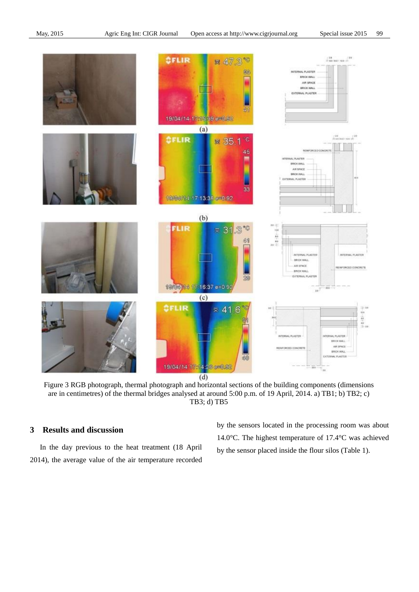

Figure 3 RGB photograph, thermal photograph and horizontal sections of the building components (dimensions are in centimetres) of the thermal bridges analysed at around 5:00 p.m. of 19 April, 2014. a) TB1; b) TB2; c) TB3; d) TB5

### **3 Results and discussion**

In the day previous to the heat treatment (18 April 2014), the average value of the air temperature recorded by the sensors located in the processing room was about 14.0 °C. The highest temperature of 17.4 °C was achieved by the sensor placed inside the flour silos (Table 1).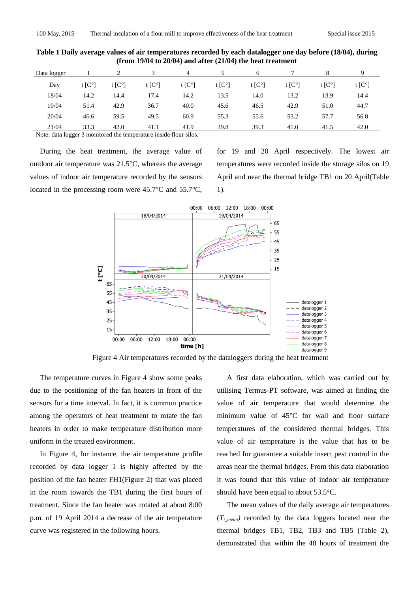| Data logger |                  |                |                | 4              |                | 6              |                | 8              | Q          |
|-------------|------------------|----------------|----------------|----------------|----------------|----------------|----------------|----------------|------------|
| Day         | t $[C^{\alpha}]$ | t [C $\degree$ | t [C $\degree$ | t [C $\degree$ | t [C $\degree$ | t [C $\degree$ | t [C $\degree$ | t [C $\degree$ | t [ $Cq$ ] |
| 18/04       | 14.2             | 14.4           | 17.4           | 14.2           | 13.5           | 14.0           | 13.2           | 13.9           | 14.4       |
| 19/04       | 51.4             | 42.9           | 36.7           | 40.0           | 45.6           | 46.5           | 42.9           | 51.0           | 44.7       |
| 20/04       | 46.6             | 59.5           | 49.5           | 60.9           | 55.3           | 55.6           | 53.2           | 57.7           | 56.8       |
| 21/04       | 33.3             | 42.0           | 41.1           | 41.9           | 39.8           | 39.3           | 41.0           | 41.5           | 42.0       |

**Table 1 Daily average values of air temperatures recorded by each datalogger one day before (18/04), during (from 19/04 to 20/04) and after (21/04) the heat treatment**

Note: data logger 3 monitored the temperature inside flour silos.

During the heat treatment, the average value of outdoor air temperature was  $21.5 \text{ C}$ , whereas the average values of indoor air temperature recorded by the sensors located in the processing room were  $45.7^{\circ}$  C and  $55.7^{\circ}$ C,

for 19 and 20 April respectively. The lowest air temperatures were recorded inside the storage silos on 19 April and near the thermal bridge TB1 on 20 April(Table 1).



Figure 4 Air temperatures recorded by the dataloggers during the heat treatment

The temperature curves in Figure 4 show some peaks due to the positioning of the fan heaters in front of the sensors for a time interval. In fact, it is common practice among the operators of heat treatment to rotate the fan heaters in order to make temperature distribution more uniform in the treated environment.

In Figure 4, for instance, the air temperature profile recorded by data logger 1 is highly affected by the position of the fan heater FH1(Figure 2) that was placed in the room towards the TB1 during the first hours of treatment. Since the fan heater was rotated at about 8:00 p.m. of 19 April 2014 a decrease of the air temperature curve was registered in the following hours.

A first data elaboration, which was carried out by utilising Termus-PT software, was aimed at finding the value of air temperature that would determine the minimum value of  $45^{\circ}$  for wall and floor surface temperatures of the considered thermal bridges. This value of air temperature is the value that has to be reached for guarantee a suitable insect pest control in the areas near the thermal bridges. From this data elaboration it was found that this value of indoor air temperature should have been equal to about  $53.5^{\circ}$ C.

The mean values of the daily average air temperatures  $(T<sub>imean</sub>)$  recorded by the data loggers located near the thermal bridges TB1, TB2, TB3 and TB5 (Table 2), demonstrated that within the 48 hours of treatment the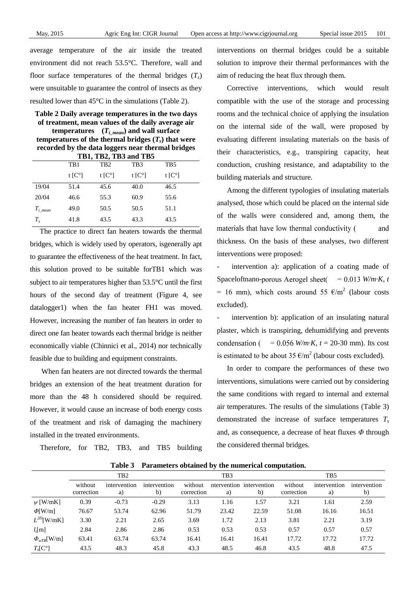average temperature of the air inside the treated environment did not reach 53.5°C. Therefore, wall and floor surface temperatures of the thermal bridges  $(T_s)$ were unsuitable to guarantee the control of insects as they resulted lower than  $45 \text{ C}$  in the simulations (Table 2).

**Table 2 Daily average temperatures in the two days of treatment, mean values of the daily average air temperatures**  $(T_{imean})$  and wall surface **temperatures of the thermal bridges**  $(T_s)$  **that were recorded by the data loggers near thermal bridges TB1, TB2, TB3 and TB5**

|                      | TB1      | T <sub>B</sub> 2           | TB <sub>3</sub> | TB <sub>5</sub>     |
|----------------------|----------|----------------------------|-----------------|---------------------|
|                      | t $[Cq]$ | t $\mathsf{IC} \mathsf{I}$ | t $[Cq]$        | t $\lceil C \rceil$ |
| 19/04                | 51.4     | 45.6                       | 40.0            | 46.5                |
| 20/04                | 46.6     | 55.3                       | 60.9            | 55.6                |
| $T_{i \text{ mean}}$ | 49.0     | 50.5                       | 50.5            | 51.1                |
| $T_{\rm s}$          | 41.8     | 43.5                       | 43.3            | 43.5                |

The practice to direct fan heaters towards the thermal bridges, which is widely used by operators, isgenerally apt to guarantee the effectiveness of the heat treatment. In fact, this solution proved to be suitable forTB1 which was subject to air temperatures higher than  $53.5^{\circ}$  cuntil the first hours of the second day of treatment (Figure 4, see datalogger1) when the fan heater FH1 was moved. However, increasing the number of fan heaters in order to direct one fan heater towards each thermal bridge is neither economically viable (Chinnici et al., 2014) nor technically feasible due to building and equipment constraints.

When fan heaters are not directed towards the thermal bridges an extension of the heat treatment duration for more than the 48 h considered should be required. However, it would cause an increase of both energy costs of the treatment and risk of damaging the machinery installed in the treated environments.

Therefore, for TB2, TB3, and TB5 building

interventions on thermal bridges could be a suitable solution to improve their thermal performances with the aim of reducing the heat flux through them.

Corrective interventions, which would result compatible with the use of the storage and processing rooms and the technical choice of applying the insulation on the internal side of the wall, were proposed by evaluating different insulating materials on the basis of their characteristics, e.g., transpiring capacity, heat conduction, crushing resistance, and adaptability to the building materials and structure.

Among the different typologies of insulating materials analysed, those which could be placed on the internal side of the walls were considered and, among them, the materials that have low thermal conductivity ( and thickness. On the basis of these analyses, two different interventions were proposed:

intervention a): application of a coating made of Spaceloftnano-porous Aerogel sheet( $= 0.013$  W/m K, t = 16 mm), which costs around 55  $\epsilon/m^2$  (labour costs excluded).

intervention b): application of an insulating natural plaster, which is transpiring, dehumidifying and prevents  $= 0.056$  *W/m K, t* = 20-30 mm). Its cost condensation ( is estimated to be about 35  $\epsilon/m^2$  (labour costs excluded).

In order to compare the performances of these two interventions, simulations were carried out by considering the same conditions with regard to internal and external air temperatures. The results of the simulations (Table 3) demonstrated the increase of surface temperatures *T<sup>s</sup>* and, as consequence, a decrease of heat fluxes *Φ* through the considered thermal bridges.

|                   | TB <sub>2</sub>       |                    |                    | TB <sub>3</sub>       |       |                                | T <sub>B5</sub>       |                    |                    |
|-------------------|-----------------------|--------------------|--------------------|-----------------------|-------|--------------------------------|-----------------------|--------------------|--------------------|
|                   | without<br>correction | intervention<br>a) | intervention<br>b) | without<br>correction | a)    | ntervention intervention<br>b) | without<br>correction | intervention<br>a) | intervention<br>b) |
| $\psi$ [W/mK]     | 0.39                  | $-0.73$            | $-0.29$            | 3.13                  | 1.16  | 1.57                           | 3.21                  | 1.61               | 2.59               |
| $\Phi$ [W/m]      | 76.67                 | 53.74              | 62.96              | 51.79                 | 23.42 | 22.59                          | 51.08                 | 16.16              | 16.51              |
| $L^{2D}$ [W/mK]   | 3.30                  | 2.21               | 2.65               | 3.69                  | 1.72  | 2.13                           | 3.81                  | 2.21               | 3.19               |
| $l_i[m]$          | 2.84                  | 2.86               | 2.86               | 0.53                  | 0.53  | 0.53                           | 0.57                  | 0.57               | 0.57               |
| $\Phi_{wTB}[W/m]$ | 63.41                 | 63.74              | 63.74              | 16.41                 | 16.41 | 16.41                          | 17.72                 | 17.72              | 17.72              |
| $T_s[C]$          | 43.5                  | 48.3               | 45.8               | 43.3                  | 48.5  | 46.8                           | 43.5                  | 48.8               | 47.5               |

**Table 3 Parameters obtained by the numerical computation.**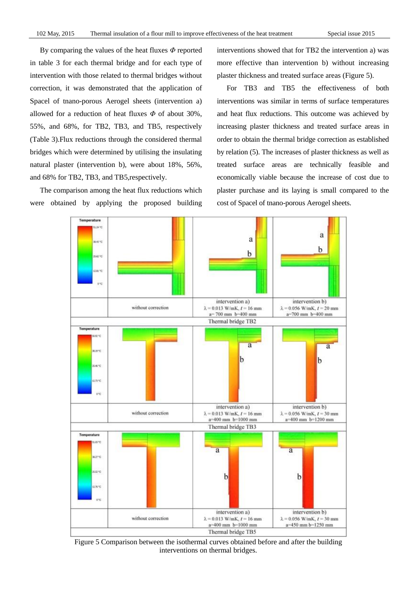By comparing the values of the heat fluxes *Φ* reported in table 3 for each thermal bridge and for each type of intervention with those related to thermal bridges without correction, it was demonstrated that the application of Spacel of tnano-porous Aerogel sheets (intervention a) allowed for a reduction of heat fluxes *Φ* of about 30%, 55%, and 68%, for TB2, TB3, and TB5, respectively (Table 3).Flux reductions through the considered thermal bridges which were determined by utilising the insulating natural plaster (intervention b), were about 18%, 56%, and 68% for TB2, TB3, and TB5,respectively.

The comparison among the heat flux reductions which were obtained by applying the proposed building interventions showed that for TB2 the intervention a) was more effective than intervention b) without increasing plaster thickness and treated surface areas (Figure 5).

For TB3 and TB5 the effectiveness of both interventions was similar in terms of surface temperatures and heat flux reductions. This outcome was achieved by increasing plaster thickness and treated surface areas in order to obtain the thermal bridge correction as established by relation (5). The increases of plaster thickness as well as treated surface areas are technically feasible and economically viable because the increase of cost due to plaster purchase and its laying is small compared to the cost of Spacel of tnano-porous Aerogel sheets.



Figure 5 Comparison between the isothermal curves obtained before and after the building interventions on thermal bridges.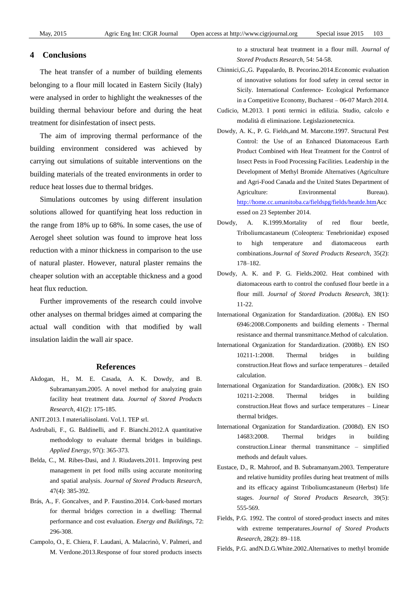#### **4 Conclusions**

The heat transfer of a number of building elements belonging to a flour mill located in Eastern Sicily (Italy) were analysed in order to highlight the weaknesses of the building thermal behaviour before and during the heat treatment for disinfestation of insect pests.

The aim of improving thermal performance of the building environment considered was achieved by carrying out simulations of suitable interventions on the building materials of the treated environments in order to reduce heat losses due to thermal bridges.

Simulations outcomes by using different insulation solutions allowed for quantifying heat loss reduction in the range from 18% up to 68%. In some cases, the use of Aerogel sheet solution was found to improve heat loss reduction with a minor thickness in comparison to the use of natural plaster. However, natural plaster remains the cheaper solution with an acceptable thickness and a good heat flux reduction.

Further improvements of the research could involve other analyses on thermal bridges aimed at comparing the actual wall condition with that modified by wall insulation laidin the wall air space.

#### **References**

- Akdogan, H., M. E. Casada, A. K. Dowdy, and B. Subramanyam.2005. A novel method for analyzing grain facility heat treatment data. *Journal of Stored Products Research*, 41(2): 175-185.
- ANIT.2013. I materialiisolanti. Vol.1. TEP srl.
- Asdrubali, F., G. Baldinelli, and F. Bianchi.2012.A quantitative methodology to evaluate thermal bridges in buildings. *Applied Energy*, 97(): 365-373.
- Belda, C., M. Ribes-Dasi, and J. Riudavets.2011. Improving pest management in pet food mills using accurate monitoring and spatial analysis. *Journal of Stored Products Research*, 47(4): 385-392.
- Br ás, A., F. Goncalves and P. Faustino. 2014. Cork-based mortars for thermal bridges correction in a dwelling: Thermal performance and cost evaluation. *Energy and Buildings*, 72: 296-308.
- Campolo, O., E. Chiera, F. Laudani, A. Malacrinò, V. Palmeri, and M. Verdone.2013.Response of four stored products insects

to a structural heat treatment in a flour mill. *Journal of Stored Products Research*, 54: 54-58.

- Chinnici,G.,G. Pappalardo, B. Pecorino.2014.Economic evaluation of innovative solutions for food safety in cereal sector in Sicily. International Conference- Ecological Performance in a Competitive Economy, Bucharest – 06-07 March 2014.
- Cudicio, M.2013. I ponti termici in edilizia. Studio, calcolo e modalità di eliminazione. Legislazionetecnica.
- Dowdy, A. K., P. G. Fields,and M. Marcotte.1997. Structural Pest Control: the Use of an Enhanced Diatomaceous Earth Product Combined with Heat Treatment for the Control of Insect Pests in Food Processing Facilities. Leadership in the Development of Methyl Bromide Alternatives (Agriculture and Agri-Food Canada and the United States Department of Agriculture: Environmental Bureau). [http://home.cc.umanitoba.ca/fieldspg/fields/heatde.htmA](http://home.cc.umanitoba.ca/fieldspg/fields/heatde.htm)cc essed on 23 September 2014.
- Dowdy, A. K.1999.Mortality of red flour beetle, Triboliumcastaneum (Coleoptera: Tenebrionidae) exposed to high temperature and diatomaceous earth combinations.*Journal of Stored Products Research*, 35(2): 178–182.
- Dowdy, A. K. and P. G. Fields.2002. Heat combined with diatomaceous earth to control the confused flour beetle in a flour mill. *Journal of Stored Products Research*, 38(1): 11-22.
- International Organization for Standardization. (2008a). EN ISO 6946:2008.Components and building elements - Thermal resistance and thermal transmittance.Method of calculation.
- International Organization for Standardization. (2008b). EN ISO 10211-1:2008. Thermal bridges in building construction.Heat flows and surface temperatures – detailed calculation.
- International Organization for Standardization. (2008c). EN ISO 10211-2:2008. Thermal bridges in building construction.Heat flows and surface temperatures – Linear thermal bridges.
- International Organization for Standardization. (2008d). EN ISO 14683:2008. Thermal bridges in building construction.Linear thermal transmittance – simplified methods and default values.
- Eustace, D., R. Mahroof, and B. Subramanyam.2003. Temperature and relative humidity profiles during heat treatment of mills and its efficacy against Triboliumcastaneum (Herbst) life stages. *Journal of Stored Products Research*, 39(5): 555-569.
- Fields, P.G. 1992. The control of stored-product insects and mites with extreme temperatures.*Journal of Stored Products Research*, 28(2): 89–118.

Fields, P.G. andN.D.G.White.2002.Alternatives to methyl bromide